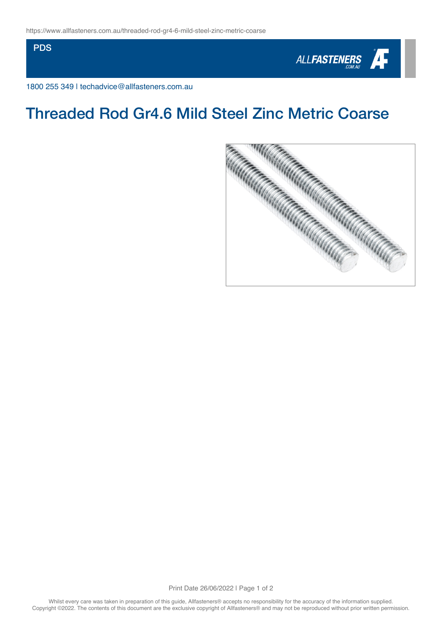**PDS** 



1800 255 349 | techadvice@allfasteners.com.au



Print Date 26/06/2022 | Page 1 of 2